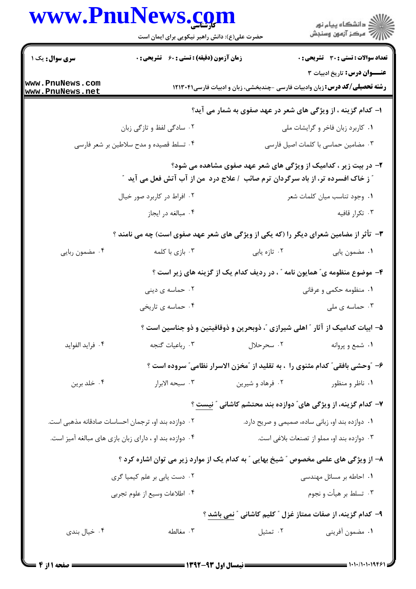## Dnu Naws cam  $\overline{\phantom{a}}$

|                                                         | www.rnurews.<br>حضرت علی(ع): دانش راهبر نیکویی برای ایمان است                             |                                                  | د دانشڪاه پيام نور<br>7- مرڪز آزمون وسنڊش                                                                                |
|---------------------------------------------------------|-------------------------------------------------------------------------------------------|--------------------------------------------------|--------------------------------------------------------------------------------------------------------------------------|
| <b>سری سوال :</b> یک ۱                                  | <b>زمان آزمون (دقیقه) : تستی : 60 ٪ تشریحی : 0</b>                                        |                                                  | <b>تعداد سوالات : تستی : 30 ٪ تشریحی : 0</b>                                                                             |
| www.PnuNews.com<br>www.PnuNews.net                      |                                                                                           |                                                  | <b>عنـــوان درس:</b> تاریخ ادبیات ۳<br><b>رشته تحصیلی/کد درس:</b> زبان وادبیات فارسی -چندبخشی، زبان و ادبیات فارسی۲۱۳۰۴۱ |
|                                                         |                                                                                           |                                                  | ا- کدام گزینه ، از ویژگی های شعر در عهد صفوی به شمار می آید؟                                                             |
|                                                         | ۰۲ سادگی لفظ و تازگی زبان                                                                 |                                                  | ۰۱ کاربرد زبان فاخر و گرایشات ملی                                                                                        |
|                                                         | ۰۴ تسلط قصیده و مدح سلاطین بر شعر فارسی                                                   |                                                  | ۰۳ مضامین حماسی با کلمات اصیل فارسی                                                                                      |
|                                                         | <b>" ز خاک افسرده تر، از باد سرگردان ترم صائب  / علاج درد  من از آب آتش فعل می آید  "</b> |                                                  | ۲- در بیت زیر ، کدامیک از ویژگی های شعر عهد صفوی مشاهده می شود؟                                                          |
|                                                         | ۰۲ افراط در کاربرد صور خیال                                                               |                                                  | ٠١. وجود تناسب ميان كلمات شعر                                                                                            |
|                                                         | ۰۴ مبالغه در ایجاز                                                                        |                                                  | ۰۳ تکرار قافیه                                                                                                           |
|                                                         | ۳- تأثر از مضامین شعرای دیگر را (که یکی از ویژگی های شعر عهد صفوی است) چه می نامند ؟      |                                                  |                                                                                                                          |
| ۰۴ مضمون ربايي                                          | ۰۳ بازی با کلمه                                                                           | ۰۲ تازه يابي                                     | ۰۱ مضمون يابي                                                                                                            |
|                                                         | ۴– موضوع منظومه ی″ همایون نامه ″ ، در ردیف کدام یک از گزینه های زیر است ؟                 |                                                  |                                                                                                                          |
|                                                         | ۰۲ حماسه ی دینی                                                                           |                                                  | ۰۱ منظومه حکمی و عرفانی                                                                                                  |
|                                                         | ۰۴ حماسه ی تاریخی                                                                         |                                                  | ۰۳ حماسه ی ملی                                                                                                           |
|                                                         |                                                                                           |                                                  | ۵– ابیات کدامیک از آثار " اهلی شیرازی "، ذوبحرین و ذوقافیتین و ذو جناسین است ؟                                           |
| ۰۴ فرايد الفوايد                                        | ۰۳ رباعیات گنجه                                                                           | ۰۲ سحرحلال                                       | ۰۱ شمع و پروانه                                                                                                          |
|                                                         |                                                                                           |                                                  | ۶- "وحشى بافقى" كدام مثنوى را ، به تقليد از "مخزن الاسرار نظامى" سروده است ؟                                             |
| ۰۴ خلد برين                                             | ۰۳ سبحه الابرار                                                                           | ۰۲ فرهاد و شیرین                                 | ۰۱ ناظر و منظور                                                                                                          |
|                                                         |                                                                                           |                                                  | ۷– کدام گزینه، از ویژگی های ؒ دوازده بند محتشم کاشانی ؒ نیست ؟                                                           |
| ۰۲ دوازده بند او، ترجمان احساسات صادقانه مذهبی است.     |                                                                                           | ۰۱ دوازده بند او، زبانی ساده، صمیمی و صریح دارد. |                                                                                                                          |
| ۰۴ دوازده بند او ، دارای زبان بازی های مبالغه آمیز است. |                                                                                           |                                                  | ٠٣ دوازده بند او، مملو از تصنعات بلاغي است.                                                                              |
|                                                         | ۸– از ویژگی های علمی مخصوص ″ شیخ بهایی ″ به کدام یک از موارد زیر می توان اشاره کرد ؟      |                                                  |                                                                                                                          |
|                                                         | ۰۲ دست یابی بر علم کیمیا گری                                                              |                                                  | ۰۱ احاطه بر مسائل مهندسی                                                                                                 |
|                                                         | ۰۴ اطلاعات وسيع از علوم تجربي                                                             |                                                  | ۰۳ تسلط بر هيأت و نجوم                                                                                                   |
|                                                         |                                                                                           |                                                  | ۹- کدام گزینه، از صفات ممتاز غزل ″ کلیم کاشانی ″ نمی باشد ؟                                                              |
| ۰۴ خیال بندی                                            | ۰۳ مغالطه                                                                                 | ۰۲ تمثیل                                         | ٠١ مضمون أفريني                                                                                                          |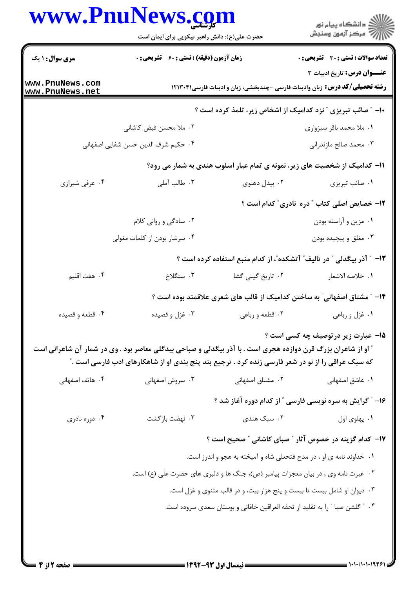## www.PnuNews.com

|                                    | www.PnuNews.com<br>حضرت علی(ع): دانش راهبر نیکویی برای ایمان است                                                                                                                                                         |                   | ِ<br>∭ دانشڪاه پيام نور<br>∭ مرڪز آزمون وسنڊش                                                                             |
|------------------------------------|--------------------------------------------------------------------------------------------------------------------------------------------------------------------------------------------------------------------------|-------------------|---------------------------------------------------------------------------------------------------------------------------|
| <b>سری سوال : ۱ یک</b>             | <b>زمان آزمون (دقیقه) : تستی : 60 ٪ تشریحی : 0</b>                                                                                                                                                                       |                   | <b>تعداد سوالات : تستی : 30 ٪ تشریحی : 0</b>                                                                              |
| www.PnuNews.com<br>www.PnuNews.net |                                                                                                                                                                                                                          |                   | <b>عنـــوان درس:</b> تاریخ ادبیات ۳<br><b>رشته تحصیلی/کد درس:</b> زبان وادبیات فارسی -چندبخشی، زبان و ادبیات فارسی۱۲۱۳۰۴۱ |
|                                    |                                                                                                                                                                                                                          |                   | ۱۰- ″ صائب تبریزی ″ نزد کدامیک از اشخاص زیر، تلمذ کرده است ؟                                                              |
|                                    | ۰۲ ملا محسن فیض کاشانی                                                                                                                                                                                                   |                   | ۰۱ ملا محمد باقر سبزواری                                                                                                  |
|                                    | ۰۴ حکیم شرف الدین حسن شفایی اصفهانی                                                                                                                                                                                      |                   | ۰۳ محمد صالح مازندرانی                                                                                                    |
|                                    |                                                                                                                                                                                                                          |                   | 11- کدامیک از شخصیت های زیر، نمونه ی تمام عیار اسلوب هندی به شمار می رود؟                                                 |
| ۰۴ عرفي شيرازي                     | ۰۳ طالب آملی                                                                                                                                                                                                             | ۰۲ بیدل دهلوی     | ٠١ صائب تبريزي                                                                                                            |
|                                    |                                                                                                                                                                                                                          |                   | ۱۲– خصایص اصلی کتاب " دره نادری" کدام است ؟                                                                               |
|                                    | ۰۲ سادگی و روانی کلام                                                                                                                                                                                                    |                   | ۰۱ مزین و آراسته بودن                                                                                                     |
|                                    | ۰۴ سرشار بودن از کلمات مغولی                                                                                                                                                                                             |                   | ۰۳ مغلق و پیچیده بودن                                                                                                     |
|                                    |                                                                                                                                                                                                                          |                   | ۱۳- ″ آذر بیگدلی ″ در تالیف″ آتشکده″، از کدام منبع استفاده کرده است ؟                                                     |
| ۰۴ هفت اقلیم                       | ۰۳ سنگلاخ                                                                                                                                                                                                                | ۰۲ تاریخ گیتی گشا | ١. خلاصه الاشعار                                                                                                          |
|                                    |                                                                                                                                                                                                                          |                   | ۱۴- " مشتاق اصفهانی" به ساختن کدامیک از قالب های شعری علاقمند بوده است ؟                                                  |
| ۰۴ قطعه و قصیده                    |                                                                                                                                                                                                                          |                   | ۰۱ غزل و رباعی مسلم ۲۰ قطعه و رباعی مسلم سه ۳۰ مزل و قصیده $\cdot$ ۳                                                      |
|                                    | <b>" او از شاعران بزرگ قرن دوازده هجری است . با آذر بیگدلی و صباحی بیدگلی معاصر بود . وی در شمار آن شاعرانی است</b><br>که سبک عراقی را از نو در شعر فارسی زنده کرد . ترجیع بند پنج بندی او از شاهکارهای ادب فارسی است ." |                   | 1۵– عبارت زیر درتوصیف چه کسی است ؟                                                                                        |
| ۰۴ هاتف اصفهانی                    | ۰۳ سروش اصفهانی                                                                                                                                                                                                          | ۰۲ مشتاق اصفهانی  | ۰۱ عاشق اصفهانی                                                                                                           |
|                                    |                                                                                                                                                                                                                          |                   | ۱۶- ″ گرایش به سره نویسی فارسی ″ از کدام دوره آغاز شد ؟                                                                   |
| ۰۴ دوره نادري                      | ۰۳ نهضت بازگشت                                                                                                                                                                                                           | ۰۲ سبک هندی       | ٠١. پهلوي اول                                                                                                             |
|                                    |                                                                                                                                                                                                                          |                   | ۱۷– کدام گزینه در خصوص آثار " صبای کاشانی " صحیح است ؟                                                                    |
|                                    | ۰۱ خداوند نامه ی او ، در مدح فتحعلی شاه و آمیخته به هجو و اندرز است.                                                                                                                                                     |                   |                                                                                                                           |
|                                    | ۲. عبرت نامه وی ، در بیان معجزات پیامبر (ص)، جنگ ها و دلیری های حضرت علی (ع) است.                                                                                                                                        |                   |                                                                                                                           |
|                                    |                                                                                                                                                                                                                          |                   | ۰۳ دیوان او شامل بیست تا بیست و پنج هزار بیت، و در قالب مثنوی و غزل است.                                                  |
|                                    |                                                                                                                                                                                                                          |                   | ۰۴ ″ گلشن صبا ″ را به تقلید از تحفه العراقین خاقانی و بوستان سعدی سروده است.                                              |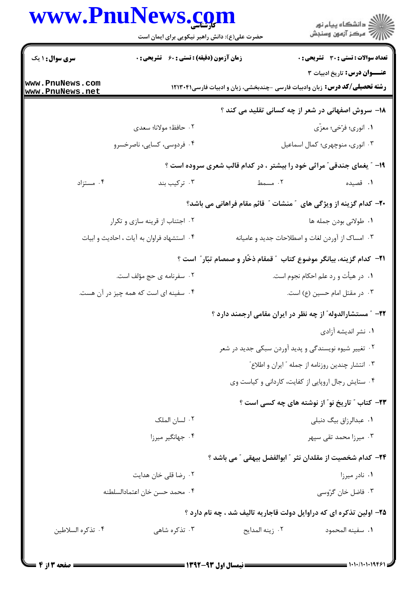## WWW PnuNows com

|                                    | حضرت علی(ع): دانش راهبر نیکویی برای ایمان است      |                                                                                   | ≦ دانشڪاه پيام نور<br>7- مرڪز آزمون وسنڊش    |
|------------------------------------|----------------------------------------------------|-----------------------------------------------------------------------------------|----------------------------------------------|
| <b>سری سوال : ۱ یک</b>             | <b>زمان آزمون (دقیقه) : تستی : 60 ٪ تشریحی : 0</b> |                                                                                   | <b>تعداد سوالات : تستی : 30 ٪ تشریحی : 0</b> |
| www.PnuNews.com<br>www.PnuNews.net |                                                    | <b>رشته تحصیلی/کد درس:</b> زبان وادبیات فارسی -چندبخشی، زبان و ادبیات فارسی۲۱۳۰۴۱ | <b>عنـــوان درس:</b> تاریخ ادبیات ۳          |
|                                    |                                                    | ۱۸– سروش اصفهانی در شعر از چه کسانی تقلید می کند ؟                                |                                              |
|                                    | ٠٢ حافظ؛ مولانا؛ سعدي                              |                                                                                   | ١. انوري؛ فرّخي؛ معزّى                       |
|                                    | ۰۴ فردوسی، کسایی، ناصرخسرو                         |                                                                                   | ۰۳ انوری، منوچهری؛ کمال اسماعیل              |
|                                    |                                                    | ۱۹- ″ یغمای جندقی″ مراثی خود را بیشتر ، در کدام قالب شعری سروده است ؟             |                                              |
| ۰۴ مستزاد                          | ۰۳ ترکیب بند                                       | ۰۲ مسمط                                                                           | ۰۱ قصیده                                     |
|                                    |                                                    | <b>۴۰</b> - کدام گزینه از ویژگی های ″منشات ″ قائم مقام فراهانی می باشد؟           |                                              |
|                                    | ۰۲ اجتناب از قرینه سازی و تکرار                    |                                                                                   | ٠١ طولاني بودن جمله ها                       |
|                                    | ۰۴ استشهاد فراوان به آیات ، احادیث و ابیات         | ۰۳ امساک از آوردن لغات و اصطلاحات جدید و عامیانه                                  |                                              |
|                                    |                                                    | <b>۲۱</b> – کدام گزینه، بیانگر موضوع کتاب ″قمقام ذخّار و صمصام تبّار″ است ؟       |                                              |
|                                    | ۰۲ سفرنامه ی حج مؤلف است.                          |                                                                                   | ۰۱ در هیأت و رد علم احکام نجوم است.          |
|                                    | ۰۴ سفینه ای است که همه چیز در آن هست.              |                                                                                   | ٠٣ در مقتل امام حسين (ع) است.                |
|                                    |                                                    | ۲۲– ″ مستشارالدوله″ از چه نظر در ایران مقامی ارجمند دارد ؟                        |                                              |
|                                    |                                                    |                                                                                   | ۰۱ نشر اندیشه آزادی                          |
|                                    |                                                    | ۰۲ تغییر شیوه نویسندگی و پدید آوردن سبکی جدید در شعر                              |                                              |
|                                    |                                                    | ٠٣ انتشار چندين روزنامه از جمله " ايران و اطلاع"                                  |                                              |
|                                    |                                                    | ۰۴ ستایش رجال اروپایی از کفایت، کاردانی و کیاست وی                                |                                              |
|                                    |                                                    | <b>۲۳</b> - کتاب " تاریخ نو" از نوشته های چه کسی است ؟                            |                                              |
|                                    | ۰۲ لسان الملک                                      |                                                                                   | ۰۱ عبدالرزاق بیگ دنبلی                       |
|                                    | ۰۴ جهانگیر میرزا                                   |                                                                                   | ۰۳ میرزا محمد تقی سپهر                       |
|                                    |                                                    | ۲۴− کدام شخصیت از مقلدان نثر ″ ابوالفضل بیهقی ″ می باشد ؟                         |                                              |
|                                    | ۰۲ رضا قلی خان هدایت                               |                                                                                   | ۰۱ نادر میرزا                                |
|                                    | ۰۴ محمد حسن خان اعتمادالسلطنه                      |                                                                                   | ۰۳ فاضل خان گروسی                            |
|                                    |                                                    | ۲۵- اولین تذکره ای که دراوایل دولت قاجاریه تالیف شد ، چه نام دارد ؟               |                                              |
| ۰۴ تذكره السلاطين                  | ۰۳ تذکره شاهی                                      | ٠٢ زينه المدايح                                                                   | ٠١. سفينه المحمود                            |